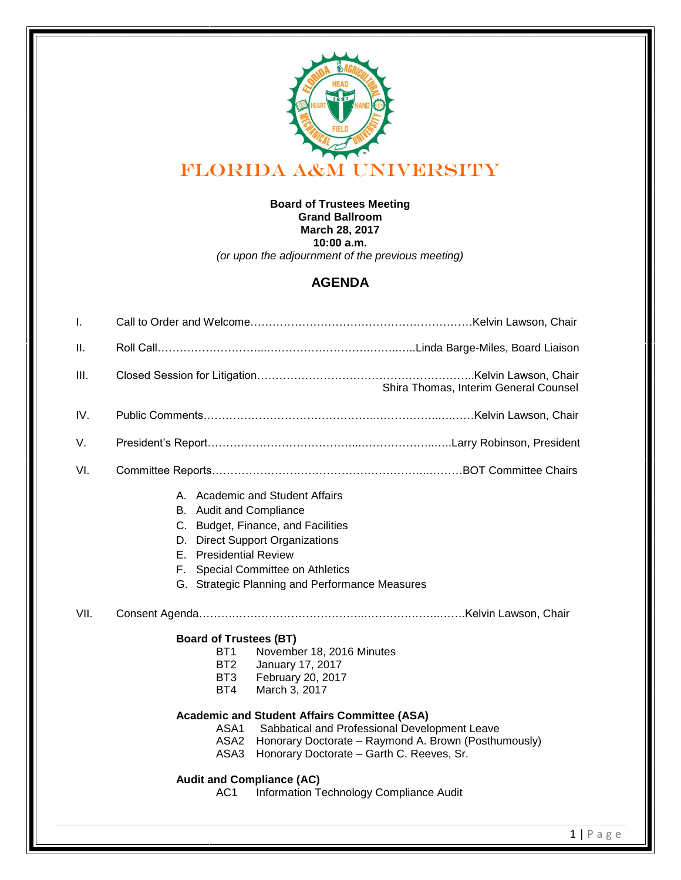

## **Board of Trustees Meeting Grand Ballroom March 28, 2017 10:00 a.m.** *(or upon the adjournment of the previous meeting)*

## **AGENDA**

| T.   |                                                                                                                                                                                                                                                                                                                                                                                                                                       |
|------|---------------------------------------------------------------------------------------------------------------------------------------------------------------------------------------------------------------------------------------------------------------------------------------------------------------------------------------------------------------------------------------------------------------------------------------|
| Ш.   |                                                                                                                                                                                                                                                                                                                                                                                                                                       |
| III. | Shira Thomas, Interim General Counsel                                                                                                                                                                                                                                                                                                                                                                                                 |
| IV.  |                                                                                                                                                                                                                                                                                                                                                                                                                                       |
| V.   |                                                                                                                                                                                                                                                                                                                                                                                                                                       |
| VI.  |                                                                                                                                                                                                                                                                                                                                                                                                                                       |
|      | A. Academic and Student Affairs<br>B. Audit and Compliance<br>C. Budget, Finance, and Facilities<br><b>Direct Support Organizations</b><br>D.<br><b>Presidential Review</b><br>F.<br>Special Committee on Athletics<br>F.<br>G. Strategic Planning and Performance Measures                                                                                                                                                           |
| VII. |                                                                                                                                                                                                                                                                                                                                                                                                                                       |
|      | <b>Board of Trustees (BT)</b><br>BT <sub>1</sub><br>November 18, 2016 Minutes<br>BT <sub>2</sub><br>January 17, 2017<br>BT <sub>3</sub><br>February 20, 2017<br>BT4<br>March 3, 2017<br><b>Academic and Student Affairs Committee (ASA)</b><br>Sabbatical and Professional Development Leave<br>ASA1<br>ASA <sub>2</sub><br>Honorary Doctorate - Raymond A. Brown (Posthumously)<br>ASA3<br>Honorary Doctorate - Garth C. Reeves, Sr. |
|      | <b>Audit and Compliance (AC)</b><br>Information Technology Compliance Audit<br>AC1                                                                                                                                                                                                                                                                                                                                                    |
|      |                                                                                                                                                                                                                                                                                                                                                                                                                                       |